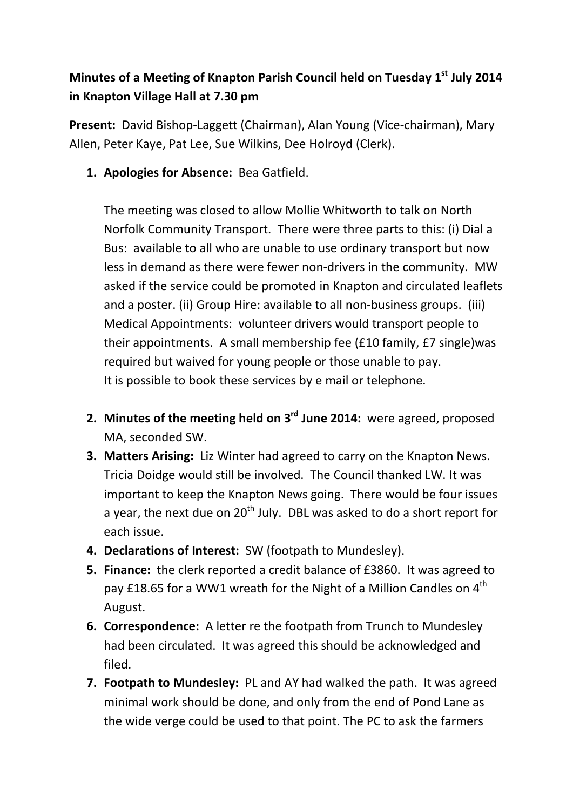## **Minutes of a Meeting of Knapton Parish Council held on Tuesday 1st July 2014 in Knapton Village Hall at 7.30 pm**

**Present:** David Bishop-Laggett (Chairman), Alan Young (Vice-chairman), Mary Allen, Peter Kaye, Pat Lee, Sue Wilkins, Dee Holroyd (Clerk).

**1. Apologies for Absence:** Bea Gatfield.

The meeting was closed to allow Mollie Whitworth to talk on North Norfolk Community Transport. There were three parts to this: (i) Dial a Bus: available to all who are unable to use ordinary transport but now less in demand as there were fewer non-drivers in the community. MW asked if the service could be promoted in Knapton and circulated leaflets and a poster. (ii) Group Hire: available to all non-business groups. (iii) Medical Appointments: volunteer drivers would transport people to their appointments. A small membership fee (£10 family, £7 single)was required but waived for young people or those unable to pay. It is possible to book these services by e mail or telephone.

- **2. Minutes of the meeting held on 3rd June 2014:** were agreed, proposed MA, seconded SW.
- **3. Matters Arising:** Liz Winter had agreed to carry on the Knapton News. Tricia Doidge would still be involved. The Council thanked LW. It was important to keep the Knapton News going. There would be four issues a year, the next due on  $20<sup>th</sup>$  July. DBL was asked to do a short report for each issue.
- **4. Declarations of Interest:** SW (footpath to Mundesley).
- **5. Finance:** the clerk reported a credit balance of £3860. It was agreed to pay £18.65 for a WW1 wreath for the Night of a Million Candles on 4<sup>th</sup> August.
- **6. Correspondence:** A letter re the footpath from Trunch to Mundesley had been circulated. It was agreed this should be acknowledged and filed.
- **7. Footpath to Mundesley:** PL and AY had walked the path. It was agreed minimal work should be done, and only from the end of Pond Lane as the wide verge could be used to that point. The PC to ask the farmers